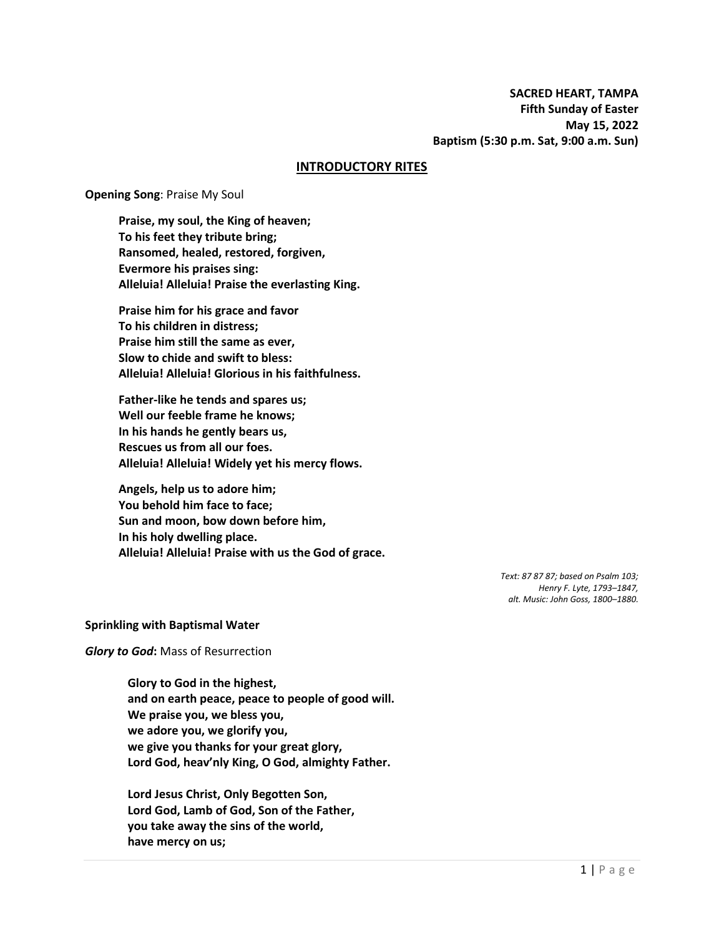**SACRED HEART, TAMPA Fifth Sunday of Easter May 15, 2022 Baptism (5:30 p.m. Sat, 9:00 a.m. Sun)**

### **INTRODUCTORY RITES**

**Opening Song**: Praise My Soul

**Praise, my soul, the King of heaven; To his feet they tribute bring; Ransomed, healed, restored, forgiven, Evermore his praises sing: Alleluia! Alleluia! Praise the everlasting King.**

**Praise him for his grace and favor To his children in distress; Praise him still the same as ever, Slow to chide and swift to bless: Alleluia! Alleluia! Glorious in his faithfulness.**

**Father-like he tends and spares us; Well our feeble frame he knows; In his hands he gently bears us, Rescues us from all our foes. Alleluia! Alleluia! Widely yet his mercy flows.**

**Angels, help us to adore him; You behold him face to face; Sun and moon, bow down before him, In his holy dwelling place. Alleluia! Alleluia! Praise with us the God of grace.**

> *Text: 87 87 87; based on Psalm 103; Henry F. Lyte, 1793–1847, alt. Music: John Goss, 1800–1880.*

#### **Sprinkling with Baptismal Water**

*Glory to God***:** Mass of Resurrection

**Glory to God in the highest, and on earth peace, peace to people of good will. We praise you, we bless you, we adore you, we glorify you, we give you thanks for your great glory, Lord God, heav'nly King, O God, almighty Father.**

**Lord Jesus Christ, Only Begotten Son, Lord God, Lamb of God, Son of the Father, you take away the sins of the world, have mercy on us;**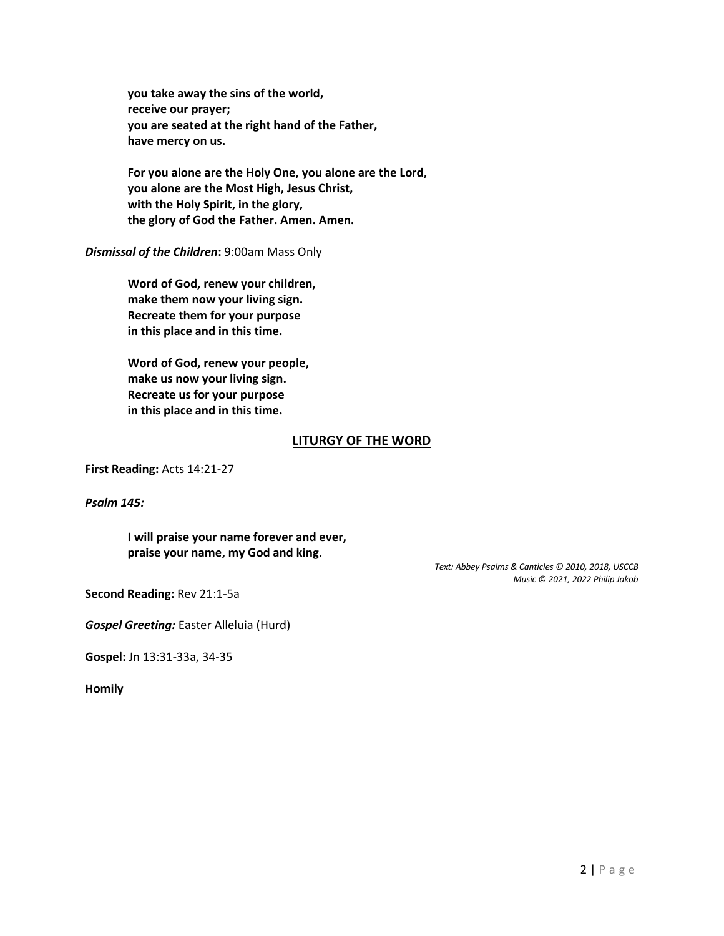**you take away the sins of the world, receive our prayer; you are seated at the right hand of the Father, have mercy on us.**

**For you alone are the Holy One, you alone are the Lord, you alone are the Most High, Jesus Christ, with the Holy Spirit, in the glory, the glory of God the Father. Amen. Amen.**

### *Dismissal of the Children***:** 9:00am Mass Only

**Word of God, renew your children, make them now your living sign. Recreate them for your purpose in this place and in this time.**

**Word of God, renew your people, make us now your living sign. Recreate us for your purpose in this place and in this time.**

### **LITURGY OF THE WORD**

**First Reading:** Acts 14:21-27

*Psalm 145:*

**I will praise your name forever and ever, praise your name, my God and king.**

> *Text: Abbey Psalms & Canticles © 2010, 2018, USCCB Music © 2021, 2022 Philip Jakob*

**Second Reading:** Rev 21:1-5a

*Gospel Greeting:* Easter Alleluia (Hurd)

**Gospel:** Jn 13:31-33a, 34-35

**Homily**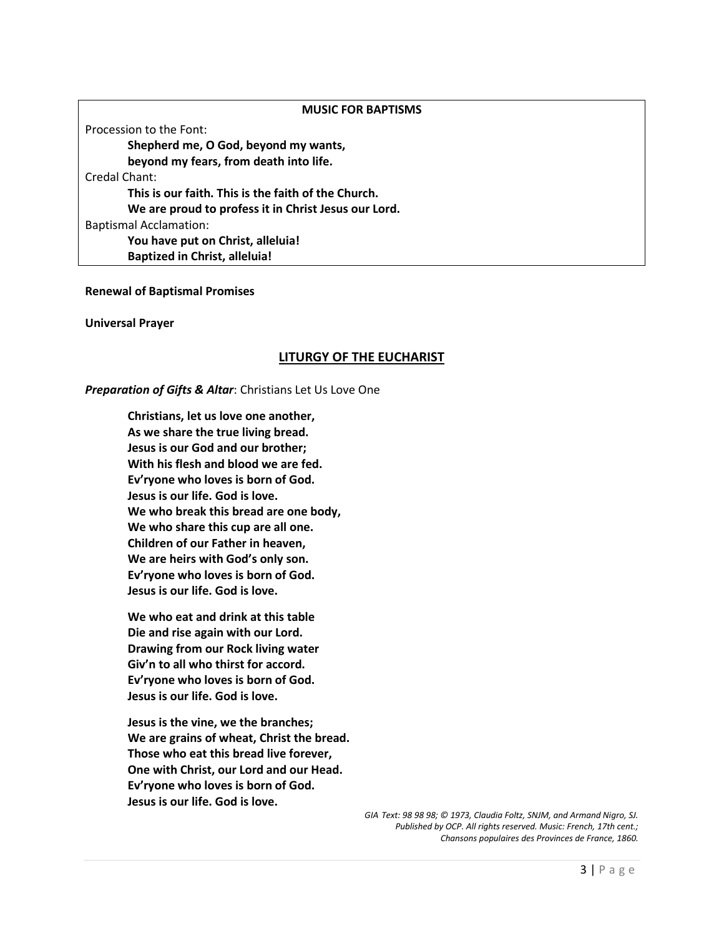#### **MUSIC FOR BAPTISMS**

Procession to the Font: **Shepherd me, O God, beyond my wants, beyond my fears, from death into life.** Credal Chant: **This is our faith. This is the faith of the Church. We are proud to profess it in Christ Jesus our Lord.** Baptismal Acclamation: **You have put on Christ, alleluia! Baptized in Christ, alleluia!**

#### **Renewal of Baptismal Promises**

**Universal Prayer**

### **LITURGY OF THE EUCHARIST**

#### *Preparation of Gifts & Altar*: Christians Let Us Love One

**Christians, let us love one another, As we share the true living bread. Jesus is our God and our brother; With his flesh and blood we are fed. Ev'ryone who loves is born of God. Jesus is our life. God is love. We who break this bread are one body, We who share this cup are all one. Children of our Father in heaven, We are heirs with God's only son. Ev'ryone who loves is born of God. Jesus is our life. God is love.**

**We who eat and drink at this table Die and rise again with our Lord. Drawing from our Rock living water Giv'n to all who thirst for accord. Ev'ryone who loves is born of God. Jesus is our life. God is love.**

**Jesus is the vine, we the branches; We are grains of wheat, Christ the bread. Those who eat this bread live forever, One with Christ, our Lord and our Head. Ev'ryone who loves is born of God. Jesus is our life. God is love.**

> *GIA Text: 98 98 98; © 1973, Claudia Foltz, SNJM, and Armand Nigro, SJ. Published by OCP. All rights reserved. Music: French, 17th cent.; Chansons populaires des Provinces de France, 1860.*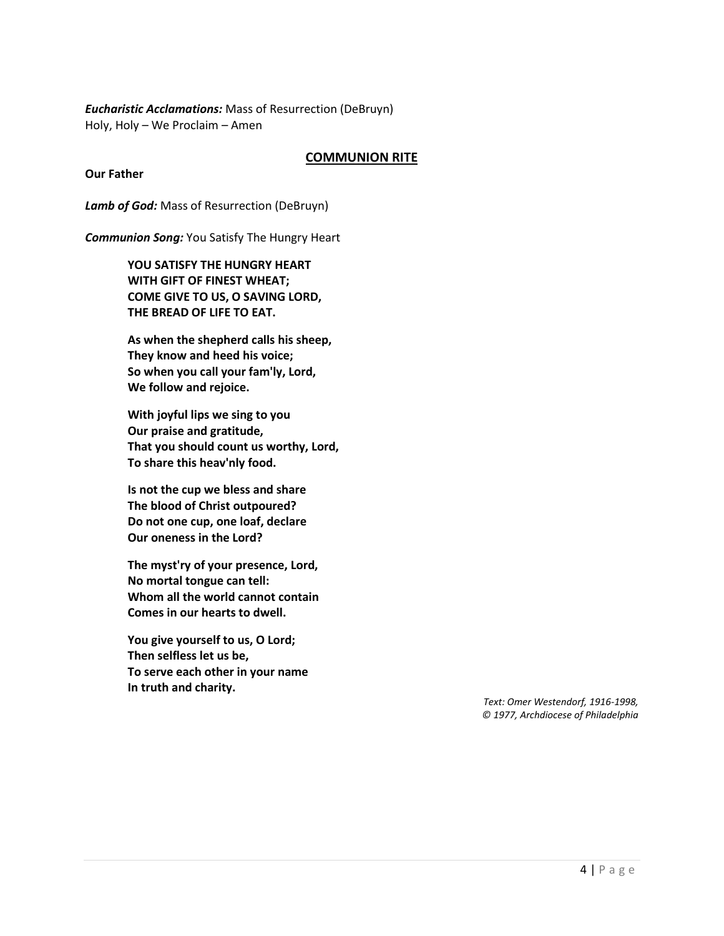## *Eucharistic Acclamations:* Mass of Resurrection (DeBruyn) Holy, Holy – We Proclaim – Amen

### **COMMUNION RITE**

### **Our Father**

*Lamb of God:* Mass of Resurrection (DeBruyn)

*Communion Song:* You Satisfy The Hungry Heart

**YOU SATISFY THE HUNGRY HEART WITH GIFT OF FINEST WHEAT; COME GIVE TO US, O SAVING LORD, THE BREAD OF LIFE TO EAT.**

**As when the shepherd calls his sheep, They know and heed his voice; So when you call your fam'ly, Lord, We follow and rejoice.**

**With joyful lips we sing to you Our praise and gratitude, That you should count us worthy, Lord, To share this heav'nly food.**

**Is not the cup we bless and share The blood of Christ outpoured? Do not one cup, one loaf, declare Our oneness in the Lord?**

**The myst'ry of your presence, Lord, No mortal tongue can tell: Whom all the world cannot contain Comes in our hearts to dwell.**

**You give yourself to us, O Lord; Then selfless let us be, To serve each other in your name In truth and charity.**

> *Text: Omer Westendorf, 1916-1998, © 1977, Archdiocese of Philadelphia*